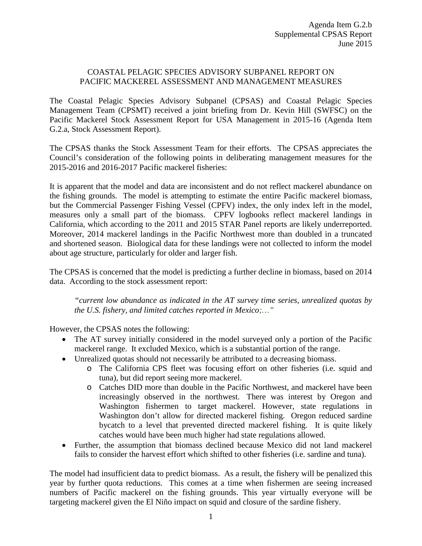## COASTAL PELAGIC SPECIES ADVISORY SUBPANEL REPORT ON PACIFIC MACKEREL ASSESSMENT AND MANAGEMENT MEASURES

The Coastal Pelagic Species Advisory Subpanel (CPSAS) and Coastal Pelagic Species Management Team (CPSMT) received a joint briefing from Dr. Kevin Hill (SWFSC) on the Pacific Mackerel Stock Assessment Report for USA Management in 2015-16 (Agenda Item G.2.a, Stock Assessment Report).

The CPSAS thanks the Stock Assessment Team for their efforts. The CPSAS appreciates the Council's consideration of the following points in deliberating management measures for the 2015-2016 and 2016-2017 Pacific mackerel fisheries:

It is apparent that the model and data are inconsistent and do not reflect mackerel abundance on the fishing grounds. The model is attempting to estimate the entire Pacific mackerel biomass, but the Commercial Passenger Fishing Vessel (CPFV) index, the only index left in the model, measures only a small part of the biomass. CPFV logbooks reflect mackerel landings in California, which according to the 2011 and 2015 STAR Panel reports are likely underreported. Moreover, 2014 mackerel landings in the Pacific Northwest more than doubled in a truncated and shortened season. Biological data for these landings were not collected to inform the model about age structure, particularly for older and larger fish.

The CPSAS is concerned that the model is predicting a further decline in biomass, based on 2014 data. According to the stock assessment report:

*"current low abundance as indicated in the AT survey time series, unrealized quotas by the U.S. fishery, and limited catches reported in Mexico;…"*

However, the CPSAS notes the following:

- The AT survey initially considered in the model surveyed only a portion of the Pacific mackerel range. It excluded Mexico, which is a substantial portion of the range.
- Unrealized quotas should not necessarily be attributed to a decreasing biomass.
	- o The California CPS fleet was focusing effort on other fisheries (i.e. squid and tuna), but did report seeing more mackerel.
	- o Catches DID more than double in the Pacific Northwest, and mackerel have been increasingly observed in the northwest. There was interest by Oregon and Washington fishermen to target mackerel. However, state regulations in Washington don't allow for directed mackerel fishing. Oregon reduced sardine bycatch to a level that prevented directed mackerel fishing. It is quite likely catches would have been much higher had state regulations allowed.
- Further, the assumption that biomass declined because Mexico did not land mackerel fails to consider the harvest effort which shifted to other fisheries (i.e. sardine and tuna).

The model had insufficient data to predict biomass. As a result, the fishery will be penalized this year by further quota reductions. This comes at a time when fishermen are seeing increased numbers of Pacific mackerel on the fishing grounds. This year virtually everyone will be targeting mackerel given the El Niño impact on squid and closure of the sardine fishery.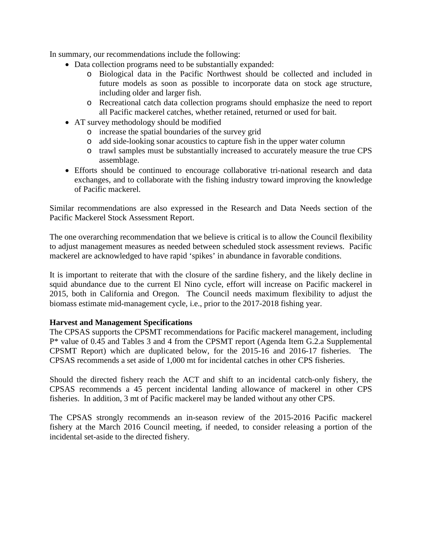In summary, our recommendations include the following:

- Data collection programs need to be substantially expanded:
	- o Biological data in the Pacific Northwest should be collected and included in future models as soon as possible to incorporate data on stock age structure, including older and larger fish.
	- o Recreational catch data collection programs should emphasize the need to report all Pacific mackerel catches, whether retained, returned or used for bait.
- AT survey methodology should be modified
	- o increase the spatial boundaries of the survey grid
	- o add side-looking sonar acoustics to capture fish in the upper water column
	- o trawl samples must be substantially increased to accurately measure the true CPS assemblage.
- Efforts should be continued to encourage collaborative tri-national research and data exchanges, and to collaborate with the fishing industry toward improving the knowledge of Pacific mackerel.

Similar recommendations are also expressed in the Research and Data Needs section of the Pacific Mackerel Stock Assessment Report.

The one overarching recommendation that we believe is critical is to allow the Council flexibility to adjust management measures as needed between scheduled stock assessment reviews. Pacific mackerel are acknowledged to have rapid 'spikes' in abundance in favorable conditions.

It is important to reiterate that with the closure of the sardine fishery, and the likely decline in squid abundance due to the current El Nino cycle, effort will increase on Pacific mackerel in 2015, both in California and Oregon. The Council needs maximum flexibility to adjust the biomass estimate mid-management cycle, i.e., prior to the 2017-2018 fishing year.

## **Harvest and Management Specifications**

The CPSAS supports the CPSMT recommendations for Pacific mackerel management, including P\* value of 0.45 and Tables 3 and 4 from the CPSMT report (Agenda Item G.2.a Supplemental CPSMT Report) which are duplicated below, for the 2015-16 and 2016-17 fisheries. The CPSAS recommends a set aside of 1,000 mt for incidental catches in other CPS fisheries.

Should the directed fishery reach the ACT and shift to an incidental catch-only fishery, the CPSAS recommends a 45 percent incidental landing allowance of mackerel in other CPS fisheries. In addition, 3 mt of Pacific mackerel may be landed without any other CPS.

The CPSAS strongly recommends an in-season review of the 2015-2016 Pacific mackerel fishery at the March 2016 Council meeting, if needed, to consider releasing a portion of the incidental set-aside to the directed fishery.